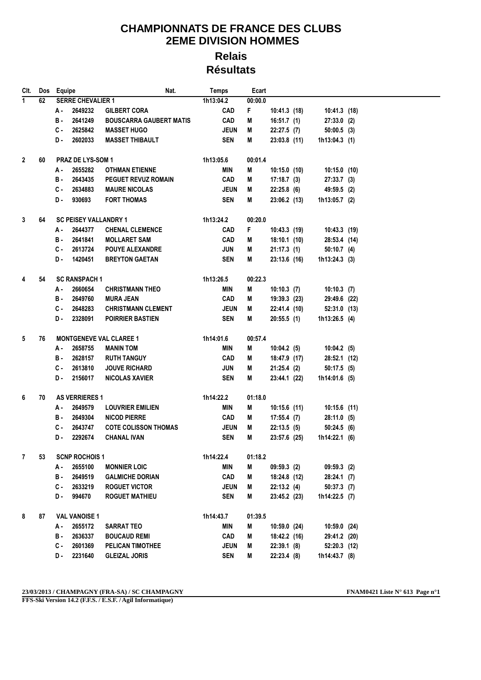## **CHAMPIONNATS DE FRANCE DES CLUBS 2EME DIVISION HOMMES Relais**

**Résultats**

| CIt.         | Dos | Equipe                       |                          | Nat.                           | <b>Temps</b> |             | Ecart   |                |  |                 |  |  |
|--------------|-----|------------------------------|--------------------------|--------------------------------|--------------|-------------|---------|----------------|--|-----------------|--|--|
| $\mathbf{1}$ | 62  |                              | <b>SERRE CHEVALIER 1</b> |                                | 1h13:04.2    |             | 00:00.0 |                |  |                 |  |  |
|              |     | А.                           | 2649232                  | <b>GILBERT CORA</b>            |              | <b>CAD</b>  | F       | 10:41.3(18)    |  | 10:41.3 (18)    |  |  |
|              |     | в.                           | 2641249                  | <b>BOUSCARRA GAUBERT MATIS</b> |              | <b>CAD</b>  | M       | 16:51.7(1)     |  | $27:33.0$ (2)   |  |  |
|              |     | с.                           | 2625842                  | <b>MASSET HUGO</b>             |              | <b>JEUN</b> | M       | 22:27.5(7)     |  | $50:00.5$ (3)   |  |  |
|              |     | D.                           | 2602033                  | <b>MASSET THIBAULT</b>         |              | <b>SEN</b>  | M       | $23:03.8$ (11) |  | $1h13:04.3$ (1) |  |  |
|              |     |                              |                          |                                |              |             |         |                |  |                 |  |  |
| $\mathbf{2}$ | 60  | <b>PRAZ DE LYS-SOM 1</b>     |                          |                                | 1h13:05.6    |             | 00:01.4 |                |  |                 |  |  |
|              |     | А.                           | 2655282                  | <b>OTHMAN ETIENNE</b>          |              | MIN         | M       | $10:15.0$ (10) |  | $10:15.0$ (10)  |  |  |
|              |     | <b>B</b> -                   | 2643435                  | <b>PEGUET REVUZ ROMAIN</b>     |              | <b>CAD</b>  | M       | $17:18.7$ (3)  |  | $27:33.7$ (3)   |  |  |
|              |     | С.                           | 2634883                  | <b>MAURE NICOLAS</b>           |              | <b>JEUN</b> | M       | $22:25.8$ (6)  |  | 49:59.5 (2)     |  |  |
|              |     | D.                           | 930693                   | <b>FORT THOMAS</b>             |              | <b>SEN</b>  | M       | 23:06.2(13)    |  | $1h13:05.7$ (2) |  |  |
|              |     |                              |                          |                                |              |             |         |                |  |                 |  |  |
| 3            | 64  | <b>SC PEISEY VALLANDRY 1</b> |                          |                                | 1h13:24.2    |             | 00:20.0 |                |  |                 |  |  |
|              |     | А.                           | 2644377                  | <b>CHENAL CLEMENCE</b>         |              | <b>CAD</b>  | F       | 10:43.3 (19)   |  | $10:43.3$ (19)  |  |  |
|              |     | в.                           | 2641841                  | <b>MOLLARET SAM</b>            |              | CAD         | M       | $18:10.1$ (10) |  | 28:53.4 (14)    |  |  |
|              |     | C -                          | 2613724                  | <b>POUYE ALEXANDRE</b>         |              | JUN         | M       | 21:17.3(1)     |  | $50:10.7$ (4)   |  |  |
|              |     | D.                           | 1420451                  | <b>BREYTON GAETAN</b>          |              | <b>SEN</b>  | M       | $23:13.6$ (16) |  | $1h13:24.3$ (3) |  |  |
|              |     |                              |                          |                                |              |             |         |                |  |                 |  |  |
| 4            | 54  |                              | <b>SC RANSPACH 1</b>     |                                | 1h13:26.5    |             | 00:22.3 |                |  |                 |  |  |
|              |     | А.                           | 2660654                  | <b>CHRISTMANN THEO</b>         |              | MIN         | M       | $10:10.3$ (7)  |  | $10:10.3$ (7)   |  |  |
|              |     | в.                           | 2649760                  | <b>MURA JEAN</b>               |              | <b>CAD</b>  | M       | 19:39.3 (23)   |  | 29:49.6 (22)    |  |  |
|              |     | C -                          | 2648283                  | <b>CHRISTMANN CLEMENT</b>      |              | <b>JEUN</b> | M       | 22:41.4 (10)   |  | 52:31.0 (13)    |  |  |
|              |     | D.                           | 2328091                  | <b>POIRRIER BASTIEN</b>        |              | <b>SEN</b>  | M       | 20:55.5(1)     |  | $1h13:26.5$ (4) |  |  |
|              |     |                              |                          |                                |              |             |         |                |  |                 |  |  |
| 5            | 76  |                              |                          | <b>MONTGENEVE VAL CLAREE 1</b> | 1h14:01.6    |             | 00:57.4 |                |  |                 |  |  |
|              |     | А.                           | 2658755                  | <b>MANIN TOM</b>               |              | MIN         | M       | 10:04.2(5)     |  | $10:04.2$ (5)   |  |  |
|              |     | в.                           | 2628157                  | <b>RUTH TANGUY</b>             |              | <b>CAD</b>  | Μ       | 18:47.9 (17)   |  | 28:52.1 (12)    |  |  |
|              |     | С.                           | 2613810                  | <b>JOUVE RICHARD</b>           |              | <b>JUN</b>  | M       | 21:25.4(2)     |  | $50:17.5$ (5)   |  |  |
|              |     | D.                           | 2156017                  | <b>NICOLAS XAVIER</b>          |              | <b>SEN</b>  | M       | 23:44.1 (22)   |  | 1h14:01.6 (5)   |  |  |
|              |     |                              |                          |                                |              |             |         |                |  |                 |  |  |
| 6            | 70  |                              | <b>AS VERRIERES 1</b>    |                                |              | 1h14:22.2   | 01:18.0 |                |  |                 |  |  |
|              |     | А.                           | 2649579                  | <b>LOUVRIER EMILIEN</b>        |              | MIN         | M       | $10:15.6$ (11) |  | $10:15.6$ (11)  |  |  |
|              |     | в.                           | 2649304                  | <b>NICOD PIERRE</b>            |              | <b>CAD</b>  | M       | 17:55.4(7)     |  | $28:11.0$ (5)   |  |  |
|              |     | C.                           | 2643747                  | <b>COTE COLISSON THOMAS</b>    |              | <b>JEUN</b> | M       | 22:13.5(5)     |  | 50:24.5(6)      |  |  |
|              |     | D-                           | 2292674                  | <b>CHANAL IVAN</b>             |              | SEN         | M       | 23:57.6 (25)   |  | 1h14:22.1(6)    |  |  |
|              |     |                              |                          |                                |              |             |         |                |  |                 |  |  |
| 7            | 53  |                              | <b>SCNP ROCHOIS1</b>     |                                | 1h14:22.4    |             | 01:18.2 |                |  |                 |  |  |
|              |     | А.                           | 2655100                  | <b>MONNIER LOIC</b>            |              | MIN         | M       | 09:59.3(2)     |  | 09:59.3(2)      |  |  |
|              |     | в.                           | 2649519                  | <b>GALMICHE DORIAN</b>         |              | <b>CAD</b>  | Μ       | 18:24.8 (12)   |  | 28:24.1(7)      |  |  |
|              |     | $c -$                        | 2633219                  | <b>ROGUET VICTOR</b>           |              | <b>JEUN</b> | Μ       | 22:13.2(4)     |  | $50:37.3$ (7)   |  |  |
|              |     | D.                           | 994670                   | <b>ROGUET MATHIEU</b>          |              | <b>SEN</b>  | Μ       | 23:45.2 (23)   |  | 1h14:22.5 (7)   |  |  |
|              |     |                              |                          |                                |              |             |         |                |  |                 |  |  |
| 8            | 87  |                              | <b>VAL VANOISE 1</b>     |                                | 1h14:43.7    |             | 01:39.5 |                |  |                 |  |  |
|              |     | А -                          | 2655172                  | <b>SARRAT TEO</b>              |              | MIN         | M       | 10:59.0 (24)   |  | 10:59.0 (24)    |  |  |
|              |     | в.                           | 2636337                  | <b>BOUCAUD REMI</b>            |              | CAD         | M       | 18:42.2 (16)   |  | 29:41.2 (20)    |  |  |
|              |     | $c -$                        | 2601369                  | PELICAN TIMOTHEE               |              | <b>JEUN</b> | M       | $22:39.1$ (8)  |  | 52:20.3 (12)    |  |  |
|              |     | D-                           | 2231640                  | <b>GLEIZAL JORIS</b>           |              | <b>SEN</b>  | M       | 22:23.4(8)     |  | 1h14:43.7 (8)   |  |  |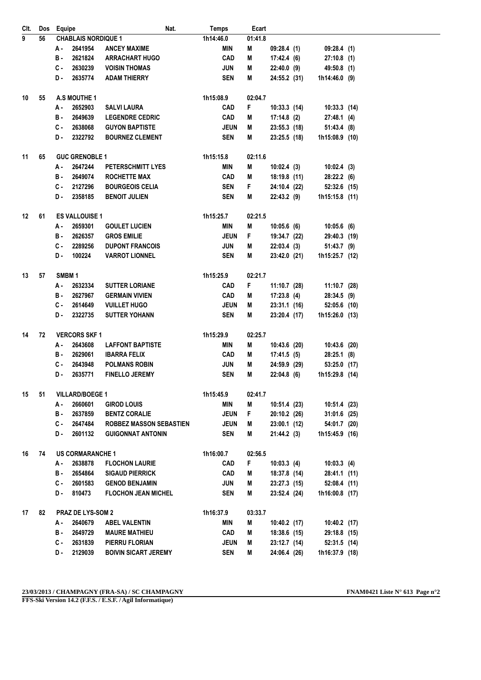| CIt. | Dos | Equipe                     |                     | Nat.                           | <b>Temps</b> | Ecart   |                |                |  |
|------|-----|----------------------------|---------------------|--------------------------------|--------------|---------|----------------|----------------|--|
| 9    | 56  | <b>CHABLAIS NORDIQUE 1</b> |                     |                                | 1h14:46.0    | 01:41.8 |                |                |  |
|      |     | А.                         | 2641954             | <b>ANCEY MAXIME</b>            | <b>MIN</b>   | M       | 09:28.4(1)     | 09:28.4(1)     |  |
|      |     | в.                         | 2621824             | <b>ARRACHART HUGO</b>          | CAD          | M       | 17:42.4(6)     | $27:10.8$ (1)  |  |
|      |     | C -                        | 2630239             | <b>VOISIN THOMAS</b>           | <b>JUN</b>   | M       | 22:40.0 (9)    | 49:50.8 (1)    |  |
|      |     | D-                         | 2635774             | <b>ADAM THIERRY</b>            | <b>SEN</b>   | M       | 24:55.2 (31)   | 1h14:46.0 (9)  |  |
| 10   | 55  | A.S MOUTHE 1               |                     |                                | 1h15:08.9    | 02:04.7 |                |                |  |
|      |     | А.                         | 2652903             | <b>SALVI LAURA</b>             | CAD          | F       | $10:33.3$ (14) | $10:33.3$ (14) |  |
|      |     | в.                         | 2649639             | <b>LEGENDRE CEDRIC</b>         | CAD          | M       | $17:14.8$ (2)  | 27:48.1 (4)    |  |
|      |     | C.                         | 2638068             | <b>GUYON BAPTISTE</b>          | <b>JEUN</b>  | М       | $23:55.3$ (18) | 51:43.4(8)     |  |
|      |     |                            | 2322792             | <b>BOURNEZ CLEMENT</b>         | <b>SEN</b>   | М       | 23:25.5(18)    | 1h15:08.9 (10) |  |
| 11   | 65  | <b>GUC GRENOBLE 1</b>      |                     |                                | 1h15:15.8    | 02:11.6 |                |                |  |
|      |     | 2647244<br>А.              |                     | <b>PETERSCHMITT LYES</b>       | MIN          | M       | 10:02.4(3)     | 10:02.4(3)     |  |
|      |     | в.                         | 2649074             | <b>ROCHETTE MAX</b>            | CAD          | M       | 18:19.8 (11)   | 28:22.2(6)     |  |
|      |     | с.                         | 2127296             | <b>BOURGEOIS CELIA</b>         | <b>SEN</b>   | F.      | 24:10.4 (22)   | 52:32.6 (15)   |  |
|      |     | D-                         | 2358185             | <b>BENOIT JULIEN</b>           | <b>SEN</b>   | M       | 22:43.2(9)     | 1h15:15.8 (11) |  |
| 12   | 61  | <b>ES VALLOUISE 1</b>      |                     |                                | 1h15:25.7    | 02:21.5 |                |                |  |
|      |     | А -                        | 2659301             | <b>GOULET LUCIEN</b>           | <b>MIN</b>   | M       | $10:05.6$ (6)  | $10:05.6$ (6)  |  |
|      |     | в.                         | 2626357             | <b>GROS EMILIE</b>             | <b>JEUN</b>  | F       | 19:34.7 (22)   | 29:40.3 (19)   |  |
|      |     | C-                         | 2289256             | <b>DUPONT FRANCOIS</b>         | <b>JUN</b>   | M       | 22:03.4(3)     | 51:43.7 (9)    |  |
|      |     | D-                         | 100224              | <b>VARROT LIONNEL</b>          | <b>SEN</b>   | M       | 23:42.0 (21)   | 1h15:25.7 (12) |  |
| 13   | 57  | SMBM <sub>1</sub>          |                     |                                | 1h15:25.9    | 02:21.7 |                |                |  |
|      |     | А.                         | 2632334             | <b>SUTTER LORIANE</b>          | <b>CAD</b>   | F       | 11:10.7 (28)   | 11:10.7 (28)   |  |
|      |     | в.                         | 2627967             | <b>GERMAIN VIVIEN</b>          | <b>CAD</b>   | M       | 17:23.8(4)     | 28:34.5 (9)    |  |
|      |     | C.                         | 2614649             | <b>VUILLET HUGO</b>            | <b>JEUN</b>  | M       | $23:31.1$ (16) | 52:05.6 (10)   |  |
|      |     | D-                         | 2322735             | <b>SUTTER YOHANN</b>           | <b>SEN</b>   | M       | 23:20.4 (17)   | 1h15:26.0 (13) |  |
| 14   | 72  |                            | <b>VERCORS SKF1</b> |                                | 1h15:29.9    | 02:25.7 |                |                |  |
|      |     | А -                        | 2643608             | <b>LAFFONT BAPTISTE</b>        | MIN          | M       | 10:43.6 (20)   | 10:43.6 (20)   |  |
|      |     | в.                         | 2629061             | <b>IBARRA FELIX</b>            | <b>CAD</b>   | M       | 17:41.5(5)     | $28:25.1$ (8)  |  |
|      |     | $c -$                      | 2643948             | <b>POLMANS ROBIN</b>           | <b>JUN</b>   | М       | 24:59.9 (29)   | 53:25.0 (17)   |  |
|      |     | D-                         | 2635771             | <b>FINELLO JEREMY</b>          | <b>SEN</b>   | M       | $22:04.8$ (6)  | 1h15:29.8 (14) |  |
| 15   | 51  | <b>VILLARD/BOEGE 1</b>     |                     | 1h15:45.9                      | 02:41.7      |         |                |                |  |
|      |     | А.                         | 2660601             | <b>GIROD LOUIS</b>             | MIN          | M       | 10:51.4 (23)   | 10:51.4 (23)   |  |
|      |     | в.                         | 2637859             | <b>BENTZ CORALIE</b>           | <b>JEUN</b>  | F.      | $20:10.2$ (26) | $31:01.6$ (25) |  |
|      |     |                            | C-2647484           | <b>ROBBEZ MASSON SEBASTIEN</b> | <b>JEUN</b>  | М       | 23:00.1 (12)   | 54:01.7 (20)   |  |
|      |     | D.                         | 2601132             | <b>GUIGONNAT ANTONIN</b>       | SEN          | М       | 21:44.2(3)     | 1h15:45.9 (16) |  |
| 16   | 74  | <b>US CORMARANCHE 1</b>    |                     |                                | 1h16:00.7    | 02:56.5 |                |                |  |
|      |     | А -                        | 2638878             | <b>FLOCHON LAURIE</b>          | <b>CAD</b>   | F.      | 10:03.3(4)     | $10:03.3$ (4)  |  |
|      |     | B -                        | 2654864             | <b>SIGAUD PIERRICK</b>         | <b>CAD</b>   | М       | 18:37.8 (14)   | 28:41.1 (11)   |  |
|      |     |                            | $C - 2601583$       | <b>GENOD BENJAMIN</b>          | JUN          | М       | 23:27.3 (15)   | 52:08.4 (11)   |  |
|      |     | D.                         | 810473              | <b>FLOCHON JEAN MICHEL</b>     | SEN          | М       | 23:52.4 (24)   | 1h16:00.8 (17) |  |
| 17   | 82  |                            | PRAZ DE LYS-SOM 2   |                                | 1h16:37.9    | 03:33.7 |                |                |  |
|      |     | А.                         | 2640679             | <b>ABEL VALENTIN</b>           | MIN          | M       | 10:40.2 (17)   | 10:40.2 (17)   |  |
|      |     | в.                         | 2649729             | <b>MAURE MATHIEU</b>           | <b>CAD</b>   | M       | $18:38.6$ (15) | 29:18.8 (15)   |  |
|      |     | $c -$                      | 2631839             | <b>PIERRU FLORIAN</b>          | <b>JEUN</b>  | M       | $23:12.7$ (14) | 52:31.5 (14)   |  |
|      |     | D.                         | 2129039             | <b>BOIVIN SICART JEREMY</b>    | <b>SEN</b>   | M       | 24:06.4 (26)   | 1h16:37.9 (18) |  |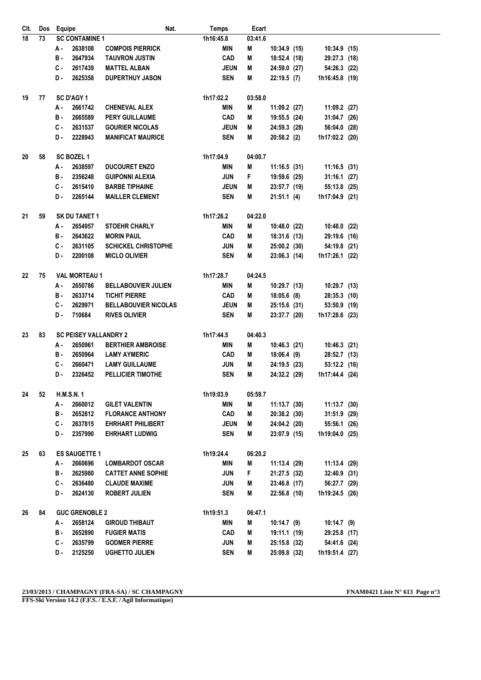| CIt.     | Dos | Equipe                       | Nat.                        | <b>Temps</b> | Ecart   |                |                |  |
|----------|-----|------------------------------|-----------------------------|--------------|---------|----------------|----------------|--|
| 18       | 73  | <b>SC CONTAMINE 1</b>        |                             | 1h16:45.8    | 03:41.6 |                |                |  |
|          |     | А.<br>2638108                | <b>COMPOIS PIERRICK</b>     | MIN          | М       | 10:34.9 (15)   | 10:34.9 (15)   |  |
|          |     | 2647934<br>в.                | <b>TAUVRON JUSTIN</b>       | <b>CAD</b>   | M       | 18:52.4 (18)   | 29:27.3 (18)   |  |
|          |     | 2617439<br>с.                | <b>MATTEL ALBAN</b>         | <b>JEUN</b>  | М       | 24:59.0 (27)   | 54:26.3 (22)   |  |
|          |     | 2625358<br>D-                | <b>DUPERTHUY JASON</b>      | <b>SEN</b>   | M       | 22:19.5(7)     | 1h16:45.8 (19) |  |
| 19       | 77  | SC D'AGY 1                   |                             | 1h17:02.2    | 03:58.0 |                |                |  |
|          |     | А.<br>2661742                | <b>CHENEVAL ALEX</b>        | MIN          | M       | 11:09.2 (27)   | 11:09.2 (27)   |  |
|          |     | в.<br>2665589                | <b>PERY GUILLAUME</b>       | <b>CAD</b>   | M       | 19:55.5 (24)   | 31:04.7 (26)   |  |
|          |     | C-<br>2631537                | <b>GOURIER NICOLAS</b>      | <b>JEUN</b>  | M       | 24:59.3 (28)   | 56:04.0 (28)   |  |
|          |     | D-<br>2228943                | <b>MANIFICAT MAURICE</b>    | <b>SEN</b>   | M       | 20:58.2(2)     | 1h17:02.2 (20) |  |
| 20       | 58  | <b>SC BOZEL 1</b>            |                             | 1h17:04.9    | 04:00.7 |                |                |  |
|          |     | 2638597<br>А.                | <b>DUCOURET ENZO</b>        | MIN          | M       | $11:16.5$ (31) | $11:16.5$ (31) |  |
|          |     | в.<br>2356248                | <b>GUIPONNI ALEXIA</b>      | <b>JUN</b>   | F.      | 19:59.6 (25)   | $31:16.1$ (27) |  |
|          |     | 2615410<br>с.                | <b>BARBE TIPHAINE</b>       | <b>JEUN</b>  | M       | 23:57.7 (19)   | 55:13.8 (25)   |  |
|          |     | 2265144<br>D.                | <b>MAILLER CLEMENT</b>      | <b>SEN</b>   | M       | 21:51.1(4)     | 1h17:04.9 (21) |  |
| 21<br>59 |     | <b>SK DU TANET 1</b>         |                             | 1h17:26.2    | 04:22.0 |                |                |  |
|          |     | 2654957<br>А -               | <b>STOEHR CHARLY</b>        | MIN          | M       | 10:48.0 (22)   | 10:48.0 (22)   |  |
|          |     | в.<br>2643622                | <b>MORIN PAUL</b>           | <b>CAD</b>   | M       | 18:31.6 (13)   | 29:19.6 (16)   |  |
|          |     | $c -$<br>2631105             | <b>SCHICKEL CHRISTOPHE</b>  | <b>JUN</b>   | M       | 25:00.2 (30)   | 54:19.8 (21)   |  |
|          |     | D-<br>2200108                | <b>MICLO OLIVIER</b>        | <b>SEN</b>   | M       | $23:06.3$ (14) | 1h17:26.1 (22) |  |
| 22       | 75  | <b>VAL MORTEAU 1</b>         |                             | 1h17:28.7    | 04:24.5 |                |                |  |
|          |     | 2650786<br>А -               | <b>BELLABOUVIER JULIEN</b>  | MIN          | M       | 10:29.7 (13)   | 10:29.7 (13)   |  |
|          |     | в.<br>2633714                | <b>TICHIT PIERRE</b>        | <b>CAD</b>   | M       | $18:05.6$ (8)  | 28:35.3 (10)   |  |
|          |     | c.<br>2629971                | <b>BELLABOUVIER NICOLAS</b> | <b>JEUN</b>  | М       | 25:15.6 (31)   | 53:50.9 (19)   |  |
|          |     | 710684<br>D.                 | <b>RIVES OLIVIER</b>        | <b>SEN</b>   | М       | 23:37.7 (20)   | 1h17:28.6 (23) |  |
| 23       | 83  | <b>SC PEISEY VALLANDRY 2</b> |                             | 1h17:44.5    | 04:40.3 |                |                |  |
|          |     | 2650961<br>А -               | <b>BERTHIER AMBROISE</b>    | MIN          | M       | 10:46.3(21)    | $10:46.3$ (21) |  |
|          |     | 2650964<br>в.                | <b>LAMY AYMERIC</b>         | <b>CAD</b>   | M       | 18:06.4(9)     | 28:52.7 (13)   |  |
|          |     | $c -$<br>2660471             | <b>LAMY GUILLAUME</b>       | <b>JUN</b>   | M       | 24:19.5 (23)   | $53:12.2$ (16) |  |
|          |     | D.<br>2326452                | <b>PELLICIER TIMOTHE</b>    | <b>SEN</b>   | M       | 24:32.2 (29)   | 1h17:44.4 (24) |  |
| 24<br>52 |     | <b>H.M.S.N.1</b>             |                             | 1h19:03.9    | 05:59.7 |                |                |  |
|          |     | 2660012<br>А.                | <b>GILET VALENTIN</b>       | MIN          | Μ       | $11:13.7$ (30) | $11:13.7$ (30) |  |
|          |     | 2652812<br>в.                | <b>FLORANCE ANTHONY</b>     | <b>CAD</b>   | M       | $20:38.2$ (30) | 31:51.9 (29)   |  |
|          |     | C -<br>2637815               | <b>EHRHART PHILIBERT</b>    | <b>JEUN</b>  | Μ       | 24:04.2 (20)   | 55:56.1 (26)   |  |
|          |     | D.<br>2357990                | <b>EHRHART LUDWIG</b>       | <b>SEN</b>   | M       | $23:07.9$ (15) | 1h19:04.0 (25) |  |
| 25       | 63  | <b>ES SAUGETTE 1</b>         |                             | 1h19:24.4    | 06:20.2 |                |                |  |
|          |     | 2660696<br>А -               | <b>LOMBARDOT OSCAR</b>      | MIN          | M       | 11:13.4 (29)   | 11:13.4 (29)   |  |
|          |     | в.<br>2625980                | <b>CATTET ANNE SOPHIE</b>   | <b>JUN</b>   | F.      | 21:27.5 (32)   | $32:40.9$ (31) |  |
|          |     | С.<br>2636480                | <b>CLAUDE MAXIME</b>        | JUN          | M       | 23:46.8 (17)   | 56:27.7 (29)   |  |
|          |     | D.<br>2624130                | <b>ROBERT JULIEN</b>        | <b>SEN</b>   | M       | $22:56.8$ (10) | 1h19:24.5 (26) |  |
| 26       | 84  | <b>GUC GRENOBLE 2</b>        |                             | 1h19:51.3    | 06:47.1 |                |                |  |
|          |     | 2658124<br>А -               | <b>GIROUD THIBAUT</b>       | MIN          | M       | 10:14.7 (9)    | $10:14.7$ (9)  |  |
|          |     | в.<br>2652890                | <b>FUGIER MATIS</b>         | <b>CAD</b>   | M       | 19:11.1 (19)   | 29:25.8 (17)   |  |
|          |     | C.<br>2635799                | <b>GODMER PIERRE</b>        | <b>JUN</b>   | M       | 25:15.8 (32)   | 54:41.6 (24)   |  |
|          |     | D.<br>2125250                | <b>UGHETTO JULIEN</b>       | <b>SEN</b>   | M       | 25:09.8 (32)   | 1h19:51.4 (27) |  |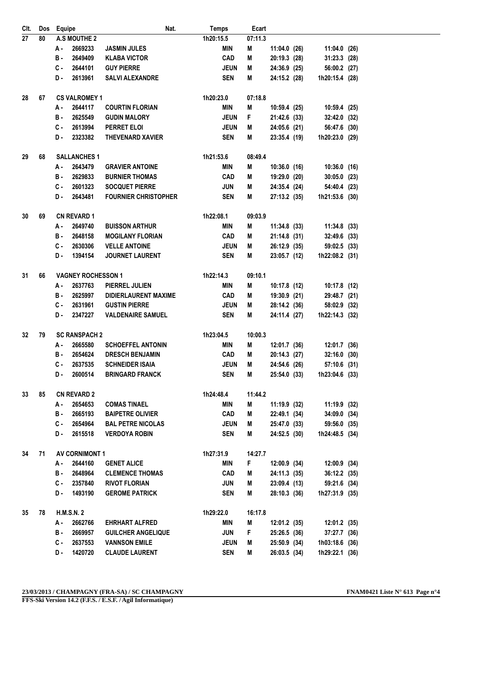| CIt.     | Dos | Equipe<br>Nat.                          |                           |                             | <b>Temps</b> | Ecart             |                |                |  |
|----------|-----|-----------------------------------------|---------------------------|-----------------------------|--------------|-------------------|----------------|----------------|--|
| 27       | 80  | <b>A.S MOUTHE 2</b>                     |                           |                             | 1h20:15.5    | 07:11.3           |                |                |  |
|          |     | 2669233<br>А.                           |                           | <b>JASMIN JULES</b>         | MIN          | M                 | $11:04.0$ (26) | 11:04.0 (26)   |  |
|          |     | в.<br>2649409                           |                           | <b>KLABA VICTOR</b>         | CAD          | M                 | 20:19.3 (28)   | $31:23.3$ (28) |  |
|          |     | C.<br>2644101                           |                           | <b>GUY PIERRE</b>           |              | <b>JEUN</b><br>M  | 24:36.9 (25)   | 56:00.2 (27)   |  |
|          |     | 2613961<br>D.                           |                           | <b>SALVI ALEXANDRE</b>      | <b>SEN</b>   | M                 | 24:15.2 (28)   | 1h20:15.4 (28) |  |
| 28       | 67  | <b>CS VALROMEY 1</b>                    |                           |                             | 1h20:23.0    | 07:18.8           |                |                |  |
|          |     | 2644117<br>А.                           |                           | <b>COURTIN FLORIAN</b>      | MIN          | M                 | 10:59.4(25)    | 10:59.4 (25)   |  |
|          |     | 2625549<br>в.                           |                           | <b>GUDIN MALORY</b>         |              | <b>JEUN</b><br>F. | 21:42.6 (33)   | 32:42.0 (32)   |  |
|          |     | C.<br>2613994                           |                           | <b>PERRET ELOI</b>          |              | <b>JEUN</b><br>M  | 24:05.6 (21)   | 56:47.6 (30)   |  |
|          |     | D.<br>2323382                           |                           | <b>THEVENARD XAVIER</b>     | <b>SEN</b>   | M                 | 23:35.4(19)    | 1h20:23.0 (29) |  |
| 29       | 68  | <b>SALLANCHES 1</b>                     |                           |                             | 1h21:53.6    | 08:49.4           |                |                |  |
|          |     | А.<br>2643479<br><b>GRAVIER ANTOINE</b> |                           |                             | MIN          | M                 | $10:36.0$ (16) | $10:36.0$ (16) |  |
|          |     | в.<br>2629833                           |                           | <b>BURNIER THOMAS</b>       | <b>CAD</b>   | M                 | 19:29.0 (20)   | $30:05.0$ (23) |  |
|          |     | 2601323<br>С.                           |                           | <b>SOCQUET PIERRE</b>       | <b>JUN</b>   | M                 | 24:35.4 (24)   | 54:40.4 (23)   |  |
|          |     | 2643481<br>D.                           |                           | <b>FOURNIER CHRISTOPHER</b> | <b>SEN</b>   | M                 | 27:13.2 (35)   | 1h21:53.6 (30) |  |
| 30<br>69 |     | <b>CN REVARD 1</b>                      |                           |                             | 1h22:08.1    | 09:03.9           |                |                |  |
|          |     | 2649740<br>А.                           |                           | <b>BUISSON ARTHUR</b>       | MIN          | M                 | 11:34.8(33)    | $11:34.8$ (33) |  |
|          |     | в.<br>2648158                           |                           | <b>MOGILANY FLORIAN</b>     | <b>CAD</b>   | M                 | $21:14.8$ (31) | 32:49.6 (33)   |  |
|          |     | C.<br>2630306                           |                           | <b>VELLE ANTOINE</b>        |              | <b>JEUN</b><br>M  | 26:12.9 (35)   | 59:02.5 (33)   |  |
|          |     | D-<br>1394154                           |                           | <b>JOURNET LAURENT</b>      | <b>SEN</b>   | M                 | 23:05.7 (12)   | 1h22:08.2 (31) |  |
| 31       | 66  |                                         | <b>VAGNEY ROCHESSON 1</b> |                             |              | 09:10.1           |                |                |  |
|          |     | А.<br>2637763                           |                           | PIERREL JULIEN              | MIN          | M                 | 10:17.8 (12)   | 10:17.8 (12)   |  |
|          |     | в.<br>2625997                           |                           | <b>DIDIERLAURENT MAXIME</b> | <b>CAD</b>   | M                 | 19:30.9 (21)   | 29:48.7 (21)   |  |
|          |     | C.<br>2631961                           |                           | <b>GUSTIN PIERRE</b>        |              | <b>JEUN</b><br>M  | 28:14.2 (36)   | 58:02.9 (32)   |  |
|          |     | 2347227<br>D-                           |                           | <b>VALDENAIRE SAMUEL</b>    | <b>SEN</b>   | M                 | 24:11.4 (27)   | 1h22:14.3 (32) |  |
| 32       | 79  | <b>SC RANSPACH 2</b>                    |                           |                             | 1h23:04.5    | 10:00.3           |                |                |  |
|          |     | 2665580<br>А -                          |                           | <b>SCHOEFFEL ANTONIN</b>    | MIN          | M                 | 12:01.7 (36)   | 12:01.7 (36)   |  |
|          |     | в.<br>2654624                           |                           | <b>DRESCH BENJAMIN</b>      | <b>CAD</b>   | M                 | 20:14.3 (27)   | $32:16.0$ (30) |  |
|          |     | C.<br>2637535                           |                           | <b>SCHNEIDER ISAIA</b>      |              | <b>JEUN</b><br>М  | 24:54.6 (26)   | 57:10.6 (31)   |  |
|          |     | D-<br>2600514                           |                           | <b>BRINGARD FRANCK</b>      | <b>SEN</b>   | М                 | 25:54.0 (33)   | 1h23:04.6 (33) |  |
| 33       | 85  | <b>CN REVARD 2</b>                      |                           |                             | 1h24:48.4    | 11:44.2           |                |                |  |
|          |     | А.<br>2654653                           |                           | <b>COMAS TINAEL</b>         | MIN          | M                 | 11:19.9(32)    | 11:19.9 (32)   |  |
|          |     | В.<br>2665193                           |                           | <b>BAIPETRE OLIVIER</b>     | <b>CAD</b>   | M                 | 22:49.1 (34)   | 34:09.0 (34)   |  |
|          |     | C - 2654964                             |                           | <b>BAL PETRE NICOLAS</b>    |              | <b>JEUN</b><br>М  | 25:47.0 (33)   | 59:56.0 (35)   |  |
|          |     | D- 2615518                              |                           | <b>VERDOYA ROBIN</b>        | <b>SEN</b>   | М                 | 24:52.5 (30)   | 1h24:48.5 (34) |  |
| 34       | 71  | <b>AV CORNIMONT 1</b>                   |                           |                             | 1h27:31.9    | 14:27.7           |                |                |  |
|          |     | 2644160<br>А.                           |                           | <b>GENET ALICE</b>          | MIN          | F.                | 12:00.9 (34)   | 12:00.9 (34)   |  |
|          |     | B-2648964                               |                           | <b>CLEMENCE THOMAS</b>      | <b>CAD</b>   | M                 | 24:11.3 (35)   | 36:12.2 (35)   |  |
|          |     | $C - 2357840$                           |                           | <b>RIVOT FLORIAN</b>        | JUN          | M                 | 23:09.4(13)    | 59:21.6 (34)   |  |
|          |     | D.<br>1493190                           |                           | <b>GEROME PATRICK</b>       | SEN          | М                 | 28:10.3 (36)   | 1h27:31.9 (35) |  |
| 35       | 78  | <b>H.M.S.N. 2</b>                       |                           |                             | 1h29:22.0    | 16:17.8           |                |                |  |
|          |     | А.<br>2662766                           |                           | <b>EHRHART ALFRED</b>       | MIN          | M                 | 12:01.2 (35)   | 12:01.2 (35)   |  |
|          |     | В.<br>2669957                           |                           | <b>GUILCHER ANGELIQUE</b>   | JUN          | F.                | 25:26.5 (36)   | 37:27.7 (36)   |  |
|          |     | $c -$<br>2637553                        |                           | <b>VANNSON EMILE</b>        |              | <b>JEUN</b><br>M  | 25:50.9 (34)   | 1h03:18.6 (36) |  |
|          |     | D.<br>1420720                           |                           | <b>CLAUDE LAURENT</b>       | <b>SEN</b>   | M                 | 26:03.5 (34)   | 1h29:22.1 (36) |  |